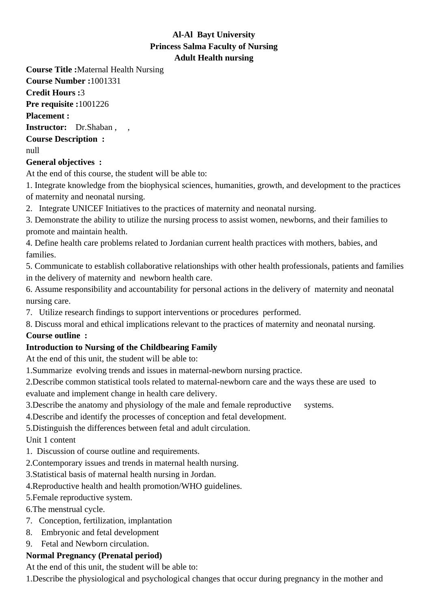## **Al-Al Bayt University Princess Salma Faculty of Nursing Adult Health nursing**

**Course Title :**Maternal Health Nursing

**Course Number :**1001331

**Credit Hours :**3

**Pre requisite :**1001226

**Placement :**

**Instructor:** Dr.Shaban , ,

**Course Description :**

null

## **General objectives :**

At the end of this course, the student will be able to:

1. Integrate knowledge from the biophysical sciences, humanities, growth, and development to the practices of maternity and neonatal nursing.

2. Integrate UNICEF Initiatives to the practices of maternity and neonatal nursing.

3. Demonstrate the ability to utilize the nursing process to assist women, newborns, and their families to promote and maintain health.

4. Define health care problems related to Jordanian current health practices with mothers, babies, and families.

5. Communicate to establish collaborative relationships with other health professionals, patients and families in the delivery of maternity and newborn health care.

6. Assume responsibility and accountability for personal actions in the delivery of maternity and neonatal nursing care.

7. Utilize research findings to support interventions or procedures performed.

8. Discuss moral and ethical implications relevant to the practices of maternity and neonatal nursing.

## **Course outline :**

## **Introduction to Nursing of the Childbearing Family**

At the end of this unit, the student will be able to:

1. Summarize evolving trends and issues in maternal-newborn nursing practice.

2. Describe common statistical tools related to maternal-newborn care and the ways these are used to

evaluate and implement change in health care delivery.

3. Describe the anatomy and physiology of the male and female reproductive systems.

4. Describe and identify the processes of conception and fetal development.

5. Distinguish the differences between fetal and adult circulation.

Unit 1 content

- 1. Discussion of course outline and requirements.
- 2. Contemporary issues and trends in maternal health nursing.
- 3. Statistical basis of maternal health nursing in Jordan.
- 4. Reproductive health and health promotion/WHO guidelines.
- 5. Female reproductive system.
- 6. The menstrual cycle.
- 7. Conception, fertilization, implantation
- 8. Embryonic and fetal development
- 9. Fetal and Newborn circulation.

## **Normal Pregnancy (Prenatal period)**

At the end of this unit, the student will be able to:

1. Describe the physiological and psychological changes that occur during pregnancy in the mother and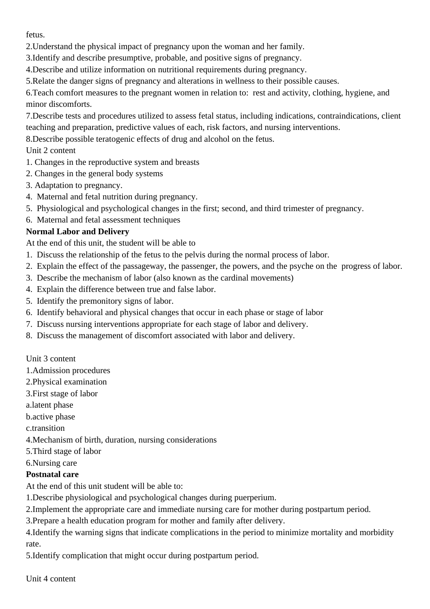fetus.

- 2. Understand the physical impact of pregnancy upon the woman and her family.
- 3. Identify and describe presumptive, probable, and positive signs of pregnancy.
- 4. Describe and utilize information on nutritional requirements during pregnancy.
- 5. Relate the danger signs of pregnancy and alterations in wellness to their possible causes.

6. Teach comfort measures to the pregnant women in relation to: rest and activity, clothing, hygiene, and minor discomforts.

7. Describe tests and procedures utilized to assess fetal status, including indications, contraindications, client teaching and preparation, predictive values of each, risk factors, and nursing interventions.

8. Describe possible teratogenic effects of drug and alcohol on the fetus.

## Unit 2 content

- 1. Changes in the reproductive system and breasts
- 2. Changes in the general body systems
- 3. Adaptation to pregnancy.
- 4. Maternal and fetal nutrition during pregnancy.
- 5. Physiological and psychological changes in the first; second, and third trimester of pregnancy.
- 6. Maternal and fetal assessment techniques

## **Normal Labor and Delivery**

At the end of this unit, the student will be able to

- 1. Discuss the relationship of the fetus to the pelvis during the normal process of labor.
- 2. Explain the effect of the passageway, the passenger, the powers, and the psyche on the progress of labor.
- 3. Describe the mechanism of labor (also known as the cardinal movements)
- 4. Explain the difference between true and false labor.
- 5. Identify the premonitory signs of labor.
- 6. Identify behavioral and physical changes that occur in each phase or stage of labor
- 7. Discuss nursing interventions appropriate for each stage of labor and delivery.
- 8. Discuss the management of discomfort associated with labor and delivery.

#### Unit 3 content

- 1. Admission procedures
- 2. Physical examination
- 3. First stage of labor
- a. latent phase
- b. active phase
- c. transition
- 4. Mechanism of birth, duration, nursing considerations
- 5. Third stage of labor
- 6. Nursing care

## **Postnatal care**

At the end of this unit student will be able to:

- 1. Describe physiological and psychological changes during puerperium.
- 2. Implement the appropriate care and immediate nursing care for mother during postpartum period.
- 3. Prepare a health education program for mother and family after delivery.
- 4. Identify the warning signs that indicate complications in the period to minimize mortality and morbidity rate.
- 5. Identify complication that might occur during postpartum period.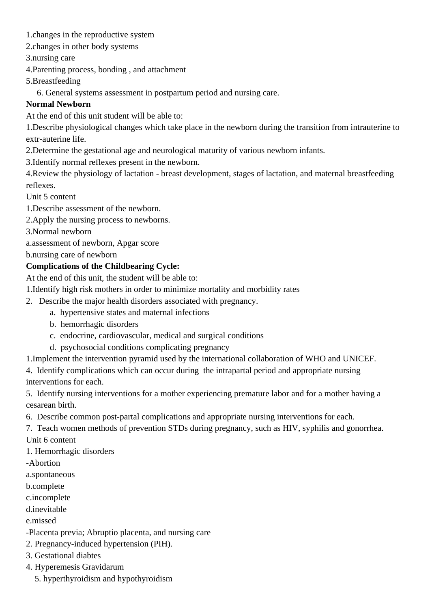- 1. changes in the reproductive system
- 2. changes in other body systems
- 3. nursing care
- 4. Parenting process, bonding , and attachment
- 5. Breastfeeding

6. General systems assessment in postpartum period and nursing care.

## **Normal Newborn**

At the end of this unit student will be able to:

1. Describe physiological changes which take place in the newborn during the transition from intrauterine to extr-auterine life.

- 2. Determine the gestational age and neurological maturity of various newborn infants.
- 3. Identify normal reflexes present in the newborn.

4. Review the physiology of lactation - breast development, stages of lactation, and maternal breastfeeding reflexes.

Unit 5 content

- 1. Describe assessment of the newborn.
- 2. Apply the nursing process to newborns.
- 3. Normal newborn
- a. assessment of newborn, Apgar score
- b. nursing care of newborn

## **Complications of the Childbearing Cycle:**

At the end of this unit, the student will be able to:

- 1. Identify high risk mothers in order to minimize mortality and morbidity rates
- 2. Describe the major health disorders associated with pregnancy.
	- a. hypertensive states and maternal infections
	- b. hemorrhagic disorders
	- c. endocrine, cardiovascular, medical and surgical conditions
	- d. psychosocial conditions complicating pregnancy
- 1. Implement the intervention pyramid used by the international collaboration of WHO and UNICEF.
- 4. Identify complications which can occur during the intrapartal period and appropriate nursing interventions for each.

5. Identify nursing interventions for a mother experiencing premature labor and for a mother having a cesarean birth.

- 6. Describe common post-partal complications and appropriate nursing interventions for each.
- 7. Teach women methods of prevention STDs during pregnancy, such as HIV, syphilis and gonorrhea. Unit 6 content
- 
- 1. Hemorrhagic disorders
- -Abortion
- a. spontaneous
- b. complete
- c. incomplete
- d. inevitable
- e. missed
- -Placenta previa; Abruptio placenta, and nursing care
- 2. Pregnancy-induced hypertension (PIH).
- 3. Gestational diabtes
- 4. Hyperemesis Gravidarum
	- 5. hyperthyroidism and hypothyroidism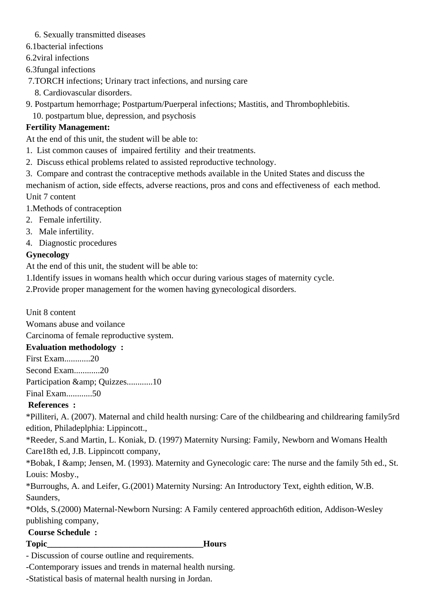- 6. Sexually transmitted diseases
- 6.1bacterial infections
- 6.2viral infections
- 6.3fungal infections
- 7.TORCH infections; Urinary tract infections, and nursing care
	- 8. Cardiovascular disorders.
- 9. Postpartum hemorrhage; Postpartum/Puerperal infections; Mastitis, and Thrombophlebitis.
	- 10. postpartum blue, depression, and psychosis

# **Fertility Management:**

At the end of this unit, the student will be able to:

- 1. List common causes of impaired fertility and their treatments.
- 2. Discuss ethical problems related to assisted reproductive technology.
- 3. Compare and contrast the contraceptive methods available in the United States and discuss the mechanism of action, side effects, adverse reactions, pros and cons and effectiveness of each method. Unit 7 content
- 1. Methods of contraception
- 2. Female infertility.
- 3. Male infertility.
- 4. Diagnostic procedures

# **Gynecology**

At the end of this unit, the student will be able to:

- 1. Identify issues in womans health which occur during various stages of maternity cycle.
- 2. Provide proper management for the women having gynecological disorders.

Unit 8 content

 Womans abuse and voilance

 Carcinoma of female reproductive system.

# **Evaluation methodology :**

First Exam............20

Second Exam............20

Participation & amp; Quizzes..............10

Final Exam............50

 **References :**

\*Pilliteri, A. (2007). Maternal and child health nursing: Care of the childbearing and childrearing family5rd edition, Philadeplphia: Lippincott.,

\*Reeder, S.and Martin, L. Koniak, D. (1997) Maternity Nursing: Family, Newborn and Womans Health Care18th ed, J.B. Lippincott company,

\*Bobak, I & amp; Jensen, M. (1993). Maternity and Gynecologic care: The nurse and the family 5th ed., St. Louis: Mosby.,

\*Burroughs, A. and Leifer, G.(2001) Maternity Nursing: An Introductory Text, eighth edition, W.B. Saunders,

\*Olds, S.(2000) Maternal-Newborn Nursing: A Family centered approach6th edition, Addison-Wesley publishing company,

# **Course Schedule :**

#### **Topic\_\_\_\_\_\_\_\_\_\_\_\_\_\_\_\_\_\_\_\_\_\_\_\_\_\_\_\_\_\_\_\_\_\_\_\_Hours**

- Discussion of course outline and requirements.

-Contemporary issues and trends in maternal health nursing.

-Statistical basis of maternal health nursing in Jordan.